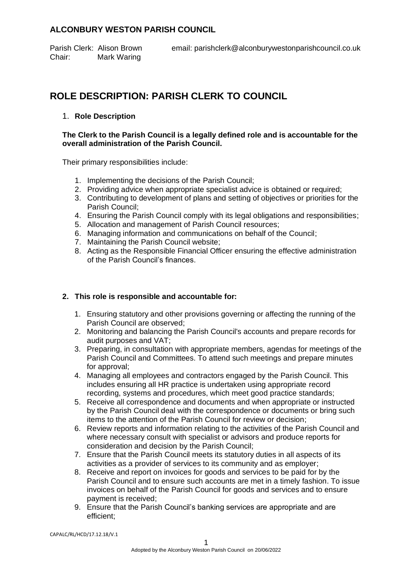# **ALCONBURY WESTON PARISH COUNCIL**

Chair: Mark Waring

# **ROLE DESCRIPTION: PARISH CLERK TO COUNCIL**

## 1. **Role Description**

#### **The Clerk to the Parish Council is a legally defined role and is accountable for the overall administration of the Parish Council.**

Their primary responsibilities include:

- 1. Implementing the decisions of the Parish Council;
- 2. Providing advice when appropriate specialist advice is obtained or required;
- 3. Contributing to development of plans and setting of objectives or priorities for the Parish Council;
- 4. Ensuring the Parish Council comply with its legal obligations and responsibilities;
- 5. Allocation and management of Parish Council resources;
- 6. Managing information and communications on behalf of the Council;
- 7. Maintaining the Parish Council website;
- 8. Acting as the Responsible Financial Officer ensuring the effective administration of the Parish Council's finances.

## **2. This role is responsible and accountable for:**

- 1. Ensuring statutory and other provisions governing or affecting the running of the Parish Council are observed;
- 2. Monitoring and balancing the Parish Council's accounts and prepare records for audit purposes and VAT;
- 3. Preparing, in consultation with appropriate members, agendas for meetings of the Parish Council and Committees. To attend such meetings and prepare minutes for approval;
- 4. Managing all employees and contractors engaged by the Parish Council. This includes ensuring all HR practice is undertaken using appropriate record recording, systems and procedures, which meet good practice standards;
- 5. Receive all correspondence and documents and when appropriate or instructed by the Parish Council deal with the correspondence or documents or bring such items to the attention of the Parish Council for review or decision;
- 6. Review reports and information relating to the activities of the Parish Council and where necessary consult with specialist or advisors and produce reports for consideration and decision by the Parish Council;
- 7. Ensure that the Parish Council meets its statutory duties in all aspects of its activities as a provider of services to its community and as employer;
- 8. Receive and report on invoices for goods and services to be paid for by the Parish Council and to ensure such accounts are met in a timely fashion. To issue invoices on behalf of the Parish Council for goods and services and to ensure payment is received;
- 9. Ensure that the Parish Council's banking services are appropriate and are efficient;